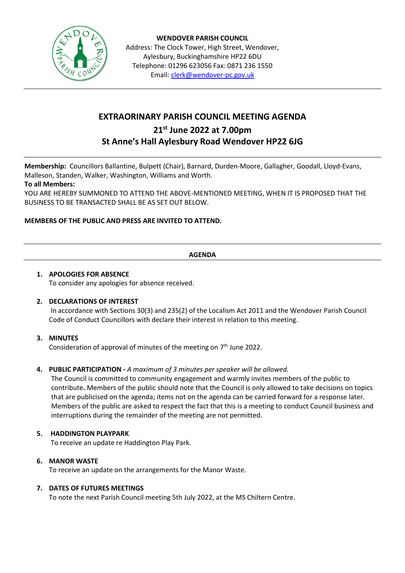

**WENDOVER PARISH COUNCIL** Address: The Clock Tower, High Street, Wendover, Aylesbury, Buckinghamshire HP22 6DU Telephone: 01296 623056 Fax: 0871 236 1550 Email[: clerk@wendover-pc.gov.uk](mailto:clerk@wendover-pc.gov.uk)

# **EXTRAORINARY PARISH COUNCIL MEETING AGENDA 21st June 2022 at 7.00pm St Anne's Hall Aylesbury Road Wendover HP22 6JG**

**Membership:** Councillors Ballantine, Bulpett (Chair), Barnard, Durden-Moore, Gallagher, Goodall, Lloyd-Evans, Malleson, Standen, Walker, Washington, Williams and Worth.

### **To all Members:**

YOU ARE HEREBY SUMMONED TO ATTEND THE ABOVE-MENTIONED MEETING, WHEN IT IS PROPOSED THAT THE BUSINESS TO BE TRANSACTED SHALL BE AS SET OUT BELOW.

## **MEMBERS OF THE PUBLIC AND PRESS ARE INVITED TO ATTEND.**

### **AGENDA**

# **1. APOLOGIES FOR ABSENCE**

To consider any apologies for absence received.

### **2. DECLARATIONS OF INTEREST**

In accordance with Sections 30(3) and 235(2) of the Localism Act 2011 and the Wendover Parish Council Code of Conduct Councillors with declare their interest in relation to this meeting.

### **3. MINUTES**

Consideration of approval of minutes of the meeting on  $7<sup>th</sup>$  June 2022.

### **4. PUBLIC PARTICIPATION -** *A maximum of 3 minutes per speaker will be allowed.*

The Council is committed to community engagement and warmly invites members of the public to contribute**.** Members of the public should note that the Council is only allowed to take decisions on topics that are publicised on the agenda; items not on the agenda can be carried forward for a response later. Members of the public are asked to respect the fact that this is a meeting to conduct Council business and interruptions during the remainder of the meeting are not permitted.

### **5. HADDINGTON PLAYPARK**

To receive an update re Haddington Play Park.

#### **6. MANOR WASTE**

To receive an update on the arrangements for the Manor Waste.

#### **7. DATES OF FUTURES MEETINGS**

To note the next Parish Council meeting 5th July 2022, at the MS Chiltern Centre.